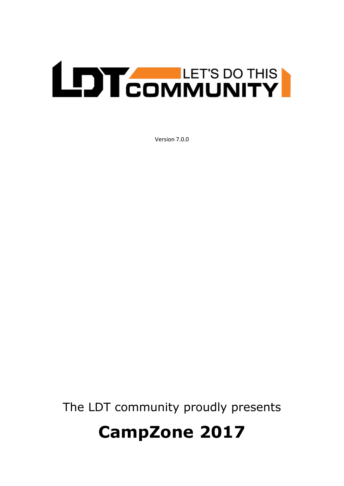## **LEDT COMMUNITY**

Version 7.0.0

The LDT community proudly presents

## **CampZone 2017**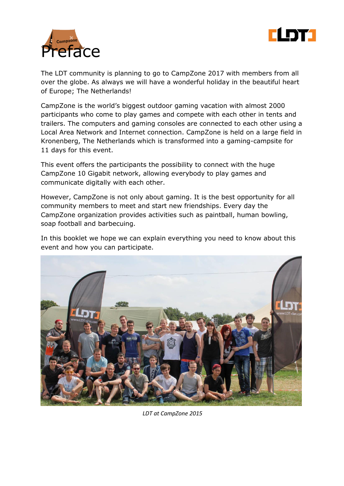



The LDT community is planning to go to CampZone 2017 with members from all over the globe. As always we will have a wonderful holiday in the beautiful heart of Europe; The Netherlands!

CampZone is the world's biggest outdoor gaming vacation with almost 2000 participants who come to play games and compete with each other in tents and trailers. The computers and gaming consoles are connected to each other using a Local Area Network and Internet connection. CampZone is held on a large field in Kronenberg, The Netherlands which is transformed into a gaming-campsite for 11 days for this event.

This event offers the participants the possibility to connect with the huge CampZone 10 Gigabit network, allowing everybody to play games and communicate digitally with each other.

However, CampZone is not only about gaming. It is the best opportunity for all community members to meet and start new friendships. Every day the CampZone organization provides activities such as paintball, human bowling, soap football and barbecuing.

In this booklet we hope we can explain everything you need to know about this event and how you can participate.



*LDT at CampZone 2015*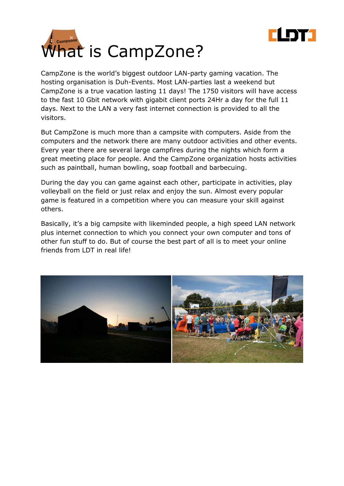



CampZone is the world's biggest outdoor LAN-party gaming vacation. The hosting organisation is Duh-Events. Most LAN-parties last a weekend but CampZone is a true vacation lasting 11 days! The 1750 visitors will have access to the fast 10 Gbit network with gigabit client ports 24Hr a day for the full 11 days. Next to the LAN a very fast internet connection is provided to all the visitors.

But CampZone is much more than a campsite with computers. Aside from the computers and the network there are many outdoor activities and other events. Every year there are several large campfires during the nights which form a great meeting place for people. And the CampZone organization hosts activities such as paintball, human bowling, soap football and barbecuing.

During the day you can game against each other, participate in activities, play volleyball on the field or just relax and enjoy the sun. Almost every popular game is featured in a competition where you can measure your skill against others.

Basically, it's a big campsite with likeminded people, a high speed LAN network plus internet connection to which you connect your own computer and tons of other fun stuff to do. But of course the best part of all is to meet your online friends from LDT in real life!

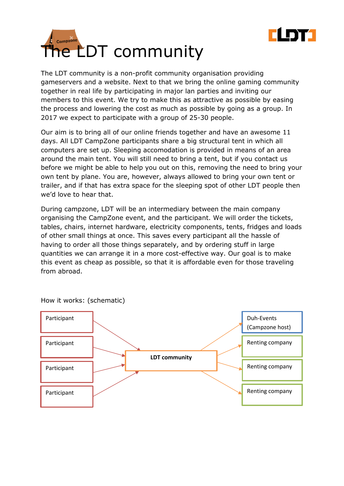



The LDT community is a non-profit community organisation providing gameservers and a website. Next to that we bring the online gaming community together in real life by participating in major lan parties and inviting our members to this event. We try to make this as attractive as possible by easing the process and lowering the cost as much as possible by going as a group. In 2017 we expect to participate with a group of 25-30 people.

Our aim is to bring all of our online friends together and have an awesome 11 days. All LDT CampZone participants share a big structural tent in which all computers are set up. Sleeping accomodation is provided in means of an area around the main tent. You will still need to bring a tent, but if you contact us before we might be able to help you out on this, removing the need to bring your own tent by plane. You are, however, always allowed to bring your own tent or trailer, and if that has extra space for the sleeping spot of other LDT people then we'd love to hear that.

During campzone, LDT will be an intermediary between the main company organising the CampZone event, and the participant. We will order the tickets, tables, chairs, internet hardware, electricity components, tents, fridges and loads of other small things at once. This saves every participant all the hassle of having to order all those things separately, and by ordering stuff in large quantities we can arrange it in a more cost-effective way. Our goal is to make this event as cheap as possible, so that it is affordable even for those traveling from abroad.



How it works: (schematic)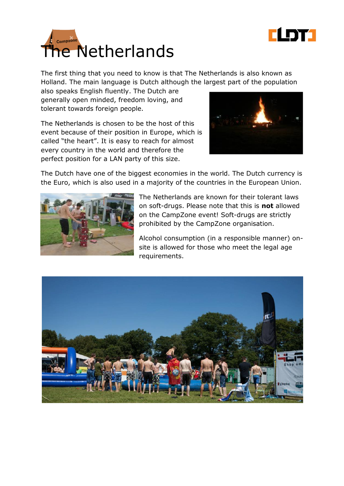



The first thing that you need to know is that The Netherlands is also known as Holland. The main language is Dutch although the largest part of the population

also speaks English fluently. The Dutch are generally open minded, freedom loving, and tolerant towards foreign people.

The Netherlands is chosen to be the host of this event because of their position in Europe, which is called "the heart". It is easy to reach for almost every country in the world and therefore the perfect position for a LAN party of this size.



The Dutch have one of the biggest economies in the world. The Dutch currency is the Euro, which is also used in a majority of the countries in the European Union.



The Netherlands are known for their tolerant laws on soft-drugs. Please note that this is **not** allowed on the CampZone event! Soft-drugs are strictly prohibited by the CampZone organisation.

Alcohol consumption (in a responsible manner) onsite is allowed for those who meet the legal age requirements.

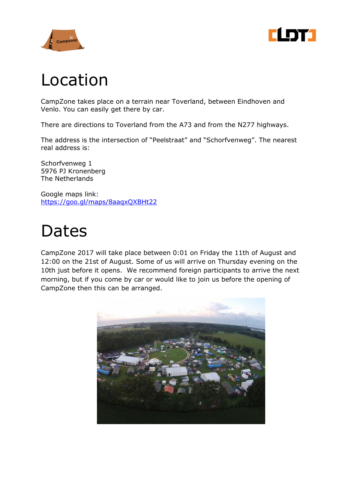



## Location

CampZone takes place on a terrain near Toverland, between Eindhoven and Venlo. You can easily get there by car.

There are directions to Toverland from the A73 and from the N277 highways.

The address is the intersection of "Peelstraat" and "Schorfvenweg". The nearest real address is:

Schorfvenweg 1 5976 PJ Kronenberg The Netherlands

Google maps link: <https://goo.gl/maps/8aaqxQXBHt22>

## Dates

CampZone 2017 will take place between 0:01 on Friday the 11th of August and 12:00 on the 21st of August. Some of us will arrive on Thursday evening on the 10th just before it opens. We recommend foreign participants to arrive the next morning, but if you come by car or would like to join us before the opening of CampZone then this can be arranged.